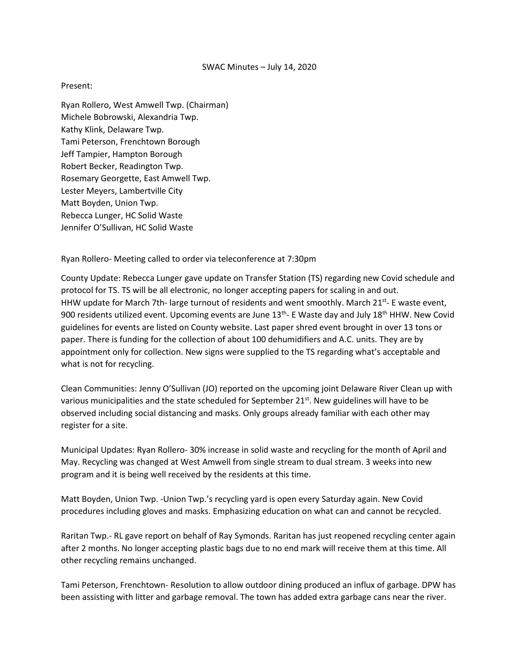## SWAC Minutes – July 14, 2020

## Present:

Ryan Rollero, West Amwell Twp. (Chairman) Michele Bobrowski, Alexandria Twp. Kathy Klink, Delaware Twp. Tami Peterson, Frenchtown Borough Jeff Tampier, Hampton Borough Robert Becker, Readington Twp. Rosemary Georgette, East Amwell Twp. Lester Meyers, Lambertville City Matt Boyden, Union Twp. Rebecca Lunger, HC Solid Waste Jennifer O'Sullivan, HC Solid Waste

Ryan Rollero- Meeting called to order via teleconference at 7:30pm

County Update: Rebecca Lunger gave update on Transfer Station (TS) regarding new Covid schedule and protocol for TS. TS will be all electronic, no longer accepting papers for scaling in and out. HHW update for March 7th- large turnout of residents and went smoothly. March 21<sup>st</sup>- E waste event, 900 residents utilized event. Upcoming events are June 13<sup>th</sup>- E Waste day and July 18<sup>th</sup> HHW. New Covid guidelines for events are listed on County website. Last paper shred event brought in over 13 tons or paper. There is funding for the collection of about 100 dehumidifiers and A.C. units. They are by appointment only for collection. New signs were supplied to the TS regarding what's acceptable and what is not for recycling.

Clean Communities: Jenny O'Sullivan (JO) reported on the upcoming joint Delaware River Clean up with various municipalities and the state scheduled for September 21<sup>st</sup>. New guidelines will have to be observed including social distancing and masks. Only groups already familiar with each other may register for a site.

Municipal Updates: Ryan Rollero- 30% increase in solid waste and recycling for the month of April and May. Recycling was changed at West Amwell from single stream to dual stream. 3 weeks into new program and it is being well received by the residents at this time.

Matt Boyden, Union Twp. -Union Twp.'s recycling yard is open every Saturday again. New Covid procedures including gloves and masks. Emphasizing education on what can and cannot be recycled.

Raritan Twp.- RL gave report on behalf of Ray Symonds. Raritan has just reopened recycling center again after 2 months. No longer accepting plastic bags due to no end mark will receive them at this time. All other recycling remains unchanged.

Tami Peterson, Frenchtown- Resolution to allow outdoor dining produced an influx of garbage. DPW has been assisting with litter and garbage removal. The town has added extra garbage cans near the river.